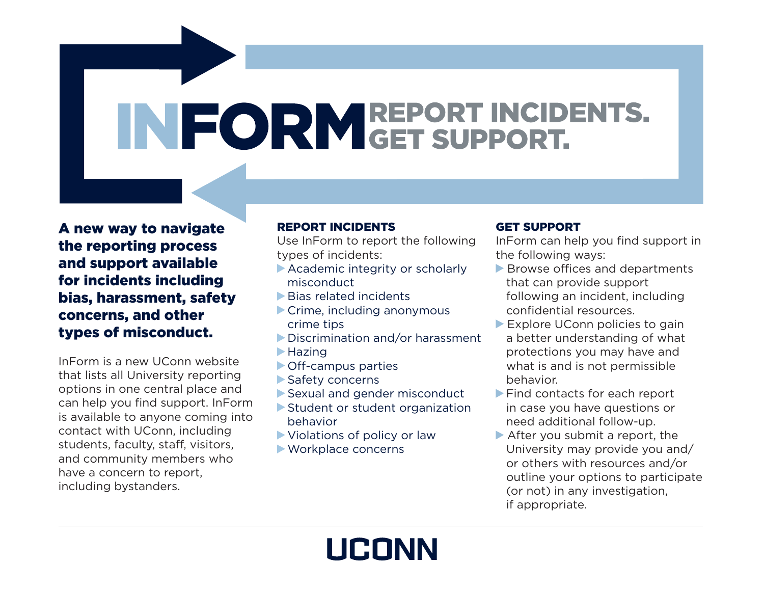# INFORM REPORT INCIDENTS.

A new way to navigate the reporting process and support available for incidents including bias, harassment, safety concerns, and other types of misconduct.

InForm is a new UConn website that lists all University reporting options in one central place and can help you find support. InForm is available to anyone coming into contact with UConn, including students, faculty, staff, visitors, and community members who have a concern to report, including bystanders.

# REPORT INCIDENTS

Use InForm to report the following types of incidents:

- Academic integrity or scholarly misconduct
- Bias related incidents
- Crime, including anonymous crime tips
- Discrimination and/or harassment  $\blacktriangleright$  Hazing
- Off-campus parties
- Safety concerns
- Sexual and gender misconduct
- Student or student organization behavior

**UCONN** 

- Violations of policy or law
- Workplace concerns

# GET SUPPORT

InForm can help you find support in the following ways:

- Browse offices and departments that can provide support following an incident, including confidential resources.
- Explore UConn policies to gain a better understanding of what protections you may have and what is and is not permissible behavior.
- Find contacts for each report in case you have questions or need additional follow-up.
- After you submit a report, the University may provide you and/ or others with resources and/or outline your options to participate (or not) in any investigation, if appropriate.